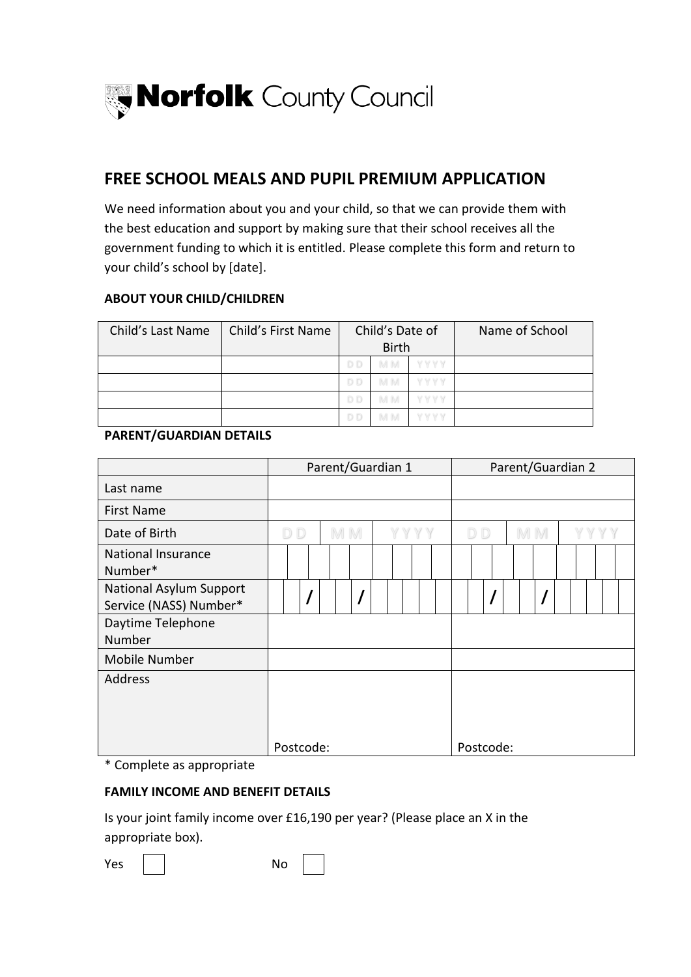

### **FREE SCHOOL MEALS AND PUPIL PREMIUM APPLICATION**

We need information about you and your child, so that we can provide them with the best education and support by making sure that their school receives all the government funding to which it is entitled. Please complete this form and return to your child's school by [date].

#### **ABOUT YOUR CHILD/CHILDREN**

| Child's Last Name | Child's First Name |     | Child's Date of<br><b>Birth</b> |       | Name of School |
|-------------------|--------------------|-----|---------------------------------|-------|----------------|
|                   |                    | D D | M M                             | IYYYY |                |
|                   |                    | D D | <b>MM</b>                       | WWW   |                |
|                   |                    | D D | M M                             | YYYY  |                |
|                   |                    | D D |                                 |       |                |

#### **PARENT/GUARDIAN DETAILS**

|                                                          | Parent/Guardian 1 |  |  |     |  |      |  |  |                |  |  | Parent/Guardian 2 |    |  |  |      |  |  |  |  |  |  |
|----------------------------------------------------------|-------------------|--|--|-----|--|------|--|--|----------------|--|--|-------------------|----|--|--|------|--|--|--|--|--|--|
| Last name                                                |                   |  |  |     |  |      |  |  |                |  |  |                   |    |  |  |      |  |  |  |  |  |  |
| <b>First Name</b>                                        |                   |  |  |     |  |      |  |  |                |  |  |                   |    |  |  |      |  |  |  |  |  |  |
| Date of Birth                                            | D <sub>D</sub>    |  |  | M M |  | YYYY |  |  | D <sub>D</sub> |  |  |                   | MM |  |  | YYYY |  |  |  |  |  |  |
| <b>National Insurance</b><br>Number*                     |                   |  |  |     |  |      |  |  |                |  |  |                   |    |  |  |      |  |  |  |  |  |  |
| <b>National Asylum Support</b><br>Service (NASS) Number* |                   |  |  |     |  |      |  |  |                |  |  |                   |    |  |  |      |  |  |  |  |  |  |
| Daytime Telephone<br>Number                              |                   |  |  |     |  |      |  |  |                |  |  |                   |    |  |  |      |  |  |  |  |  |  |
| Mobile Number                                            |                   |  |  |     |  |      |  |  |                |  |  |                   |    |  |  |      |  |  |  |  |  |  |
| Address                                                  |                   |  |  |     |  |      |  |  |                |  |  |                   |    |  |  |      |  |  |  |  |  |  |
|                                                          | Postcode:         |  |  |     |  |      |  |  | Postcode:      |  |  |                   |    |  |  |      |  |  |  |  |  |  |

\* Complete as appropriate

#### **FAMILY INCOME AND BENEFIT DETAILS**

Is your joint family income over £16,190 per year? (Please place an X in the appropriate box).

Yes | | No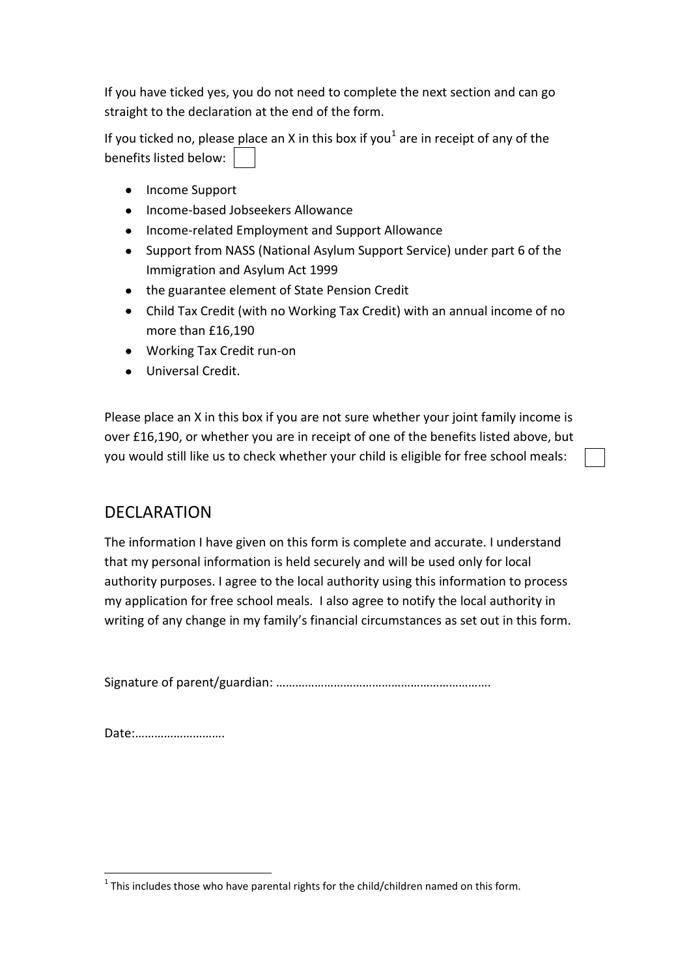If you have ticked yes, you do not need to complete the next section and can go straight to the declaration at the end of the form.

If you ticked no, please place an X in this box if you<sup>1</sup> are in receipt of any of the benefits listed below:

- Income Support
- Income-based Jobseekers Allowance
- Income-related Employment and Support Allowance
- Support from NASS (National Asylum Support Service) under part 6 of the Immigration and Asylum Act 1999
- the guarantee element of State Pension Credit
- Child Tax Credit (with no Working Tax Credit) with an annual income of no more than £16,190
- Working Tax Credit run-on
- Universal Credit.

Please place an X in this box if you are not sure whether your joint family income is over £16,190, or whether you are in receipt of one of the benefits listed above, but you would still like us to check whether your child is eligible for free school meals:

## DECLARATION

The information I have given on this form is complete and accurate. I understand that my personal information is held securely and will be used only for local authority purposes. I agree to the local authority using this information to process my application for free school meals. I also agree to notify the local authority in writing of any change in my family's financial circumstances as set out in this form.

Signature of parent/guardian: ………………………………………………………….

Date:……………………….

<sup>1</sup>  $1$  This includes those who have parental rights for the child/children named on this form.